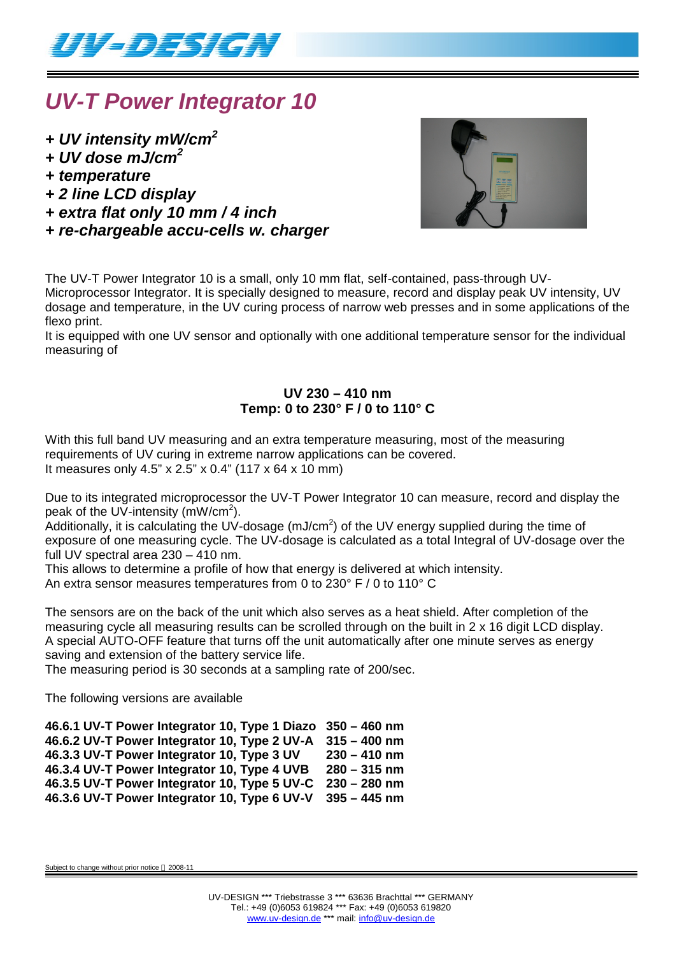

## *UV-T Power Integrator 10*

- *+ UV intensity mW/cm<sup>2</sup>*
- *+ UV dose mJ/cm<sup>2</sup>*
- *+ temperature*
- *+ 2 line LCD display*
- *+ extra flat only 10 mm / 4 inch*
- *+ re-chargeable accu-cells w. charger*



The UV-T Power Integrator 10 is a small, only 10 mm flat, self-contained, pass-through UV-Microprocessor Integrator. It is specially designed to measure, record and display peak UV intensity, UV dosage and temperature, in the UV curing process of narrow web presses and in some applications of the flexo print.

It is equipped with one UV sensor and optionally with one additional temperature sensor for the individual measuring of

### **UV 230 – 410 nm Temp: 0 to 230° F / 0 to 110° C**

With this full band UV measuring and an extra temperature measuring, most of the measuring requirements of UV curing in extreme narrow applications can be covered. It measures only 4.5" x 2.5" x 0.4" (117 x 64 x 10 mm)

Due to its integrated microprocessor the UV-T Power Integrator 10 can measure, record and display the peak of the UV-intensity (mW/cm<sup>2</sup>).

Additionally, it is calculating the UV-dosage (mJ/cm<sup>2</sup>) of the UV energy supplied during the time of exposure of one measuring cycle. The UV-dosage is calculated as a total Integral of UV-dosage over the full UV spectral area 230 – 410 nm.

This allows to determine a profile of how that energy is delivered at which intensity. An extra sensor measures temperatures from 0 to 230° F / 0 to 110° C

The sensors are on the back of the unit which also serves as a heat shield. After completion of the measuring cycle all measuring results can be scrolled through on the built in 2 x 16 digit LCD display. A special AUTO-OFF feature that turns off the unit automatically after one minute serves as energy saving and extension of the battery service life.

The measuring period is 30 seconds at a sampling rate of 200/sec.

The following versions are available

**46.6.1 UV-T Power Integrator 10, Type 1 Diazo 350 – 460 nm 46.6.2 UV-T Power Integrator 10, Type 2 UV-A 315 – 400 nm 46.3.3 UV-T Power Integrator 10, Type 3 UV 230 – 410 nm 46.3.4 UV-T Power Integrator 10, Type 4 UVB 280 – 315 nm 46.3.5 UV-T Power Integrator 10, Type 5 UV-C 230 – 280 nm 46.3.6 UV-T Power Integrator 10, Type 6 UV-V 395 – 445 nm**

Subject to change without prior notice @ 2008-11